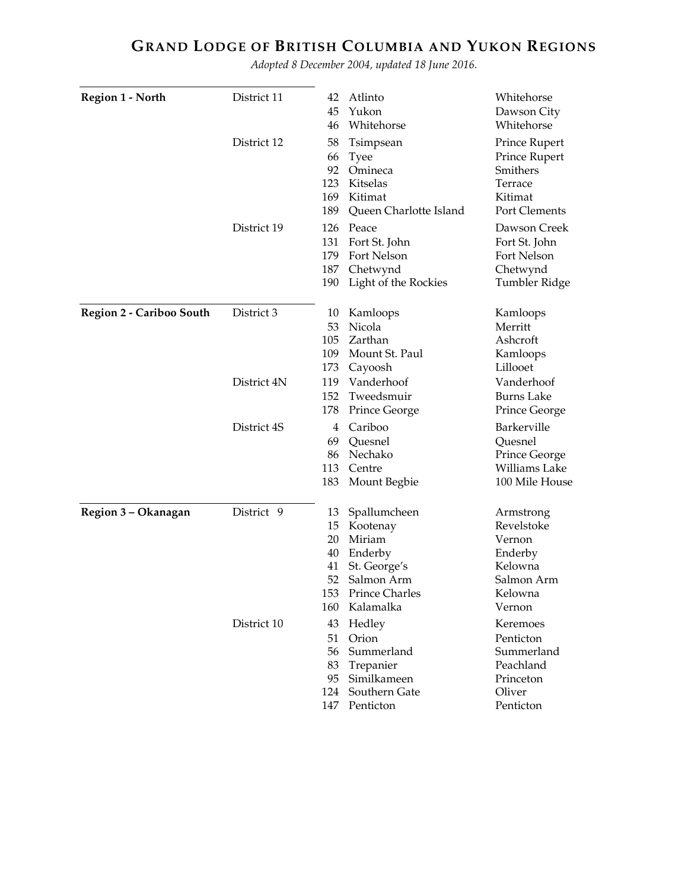## **GRAND LODGE OF BRITISH COLUMBIA AND YUKON REGIONS**

*Adopted 8 December 2004, updated 18 June 2016.*

| <b>Region 1 - North</b>         | District 11 | 42  | Atlinto                | Whitehorse        |
|---------------------------------|-------------|-----|------------------------|-------------------|
|                                 |             | 45  | Yukon                  | Dawson City       |
|                                 |             | 46  | Whitehorse             | Whitehorse        |
|                                 | District 12 | 58  | Tsimpsean              | Prince Rupert     |
|                                 |             | 66  | <b>Tyee</b>            | Prince Rupert     |
|                                 |             | 92  | Omineca                | Smithers          |
|                                 |             | 123 | Kitselas               | Terrace           |
|                                 |             | 169 | Kitimat                | Kitimat           |
|                                 |             | 189 | Queen Charlotte Island | Port Clements     |
|                                 | District 19 | 126 | Peace                  | Dawson Creek      |
|                                 |             | 131 | Fort St. John          | Fort St. John     |
|                                 |             | 179 | Fort Nelson            | Fort Nelson       |
|                                 |             | 187 | Chetwynd               | Chetwynd          |
|                                 |             | 190 | Light of the Rockies   | Tumbler Ridge     |
| <b>Region 2 - Cariboo South</b> | District 3  | 10  | Kamloops               | Kamloops          |
|                                 |             | 53  | Nicola                 | Merritt           |
|                                 |             | 105 | Zarthan                | Ashcroft          |
|                                 |             | 109 | Mount St. Paul         | Kamloops          |
|                                 |             | 173 | Cayoosh                | Lillooet          |
|                                 | District 4N | 119 | Vanderhoof             | Vanderhoof        |
|                                 |             | 152 | Tweedsmuir             | <b>Burns Lake</b> |
|                                 |             | 178 | Prince George          | Prince George     |
|                                 | District 4S | 4   | Cariboo                | Barkerville       |
|                                 |             | 69  | Quesnel                | Quesnel           |
|                                 |             | 86  | Nechako                | Prince George     |
|                                 |             | 113 | Centre                 | Williams Lake     |
|                                 |             | 183 | Mount Begbie           | 100 Mile House    |
| Region 3 - Okanagan             | District 9  | 13  | Spallumcheen           | Armstrong         |
|                                 |             | 15  | Kootenay               | Revelstoke        |
|                                 |             | 20  | Miriam                 | Vernon            |
|                                 |             | 40  | Enderby                | Enderby           |
|                                 |             | 41  | St. George's           | Kelowna           |
|                                 |             | 52  | Salmon Arm             | Salmon Arm        |
|                                 |             | 153 | <b>Prince Charles</b>  | Kelowna           |
|                                 |             | 160 | Kalamalka              | Vernon            |
|                                 | District 10 | 43  | Hedley                 | Keremoes          |
|                                 |             |     | 51 Orion               | Penticton         |
|                                 |             |     | 56 Summerland          | Summerland        |
|                                 |             |     | 83 Trepanier           | Peachland         |
|                                 |             |     | 95 Similkameen         | Princeton         |
|                                 |             |     | 124 Southern Gate      | Oliver            |
|                                 |             |     | 147 Penticton          | Penticton         |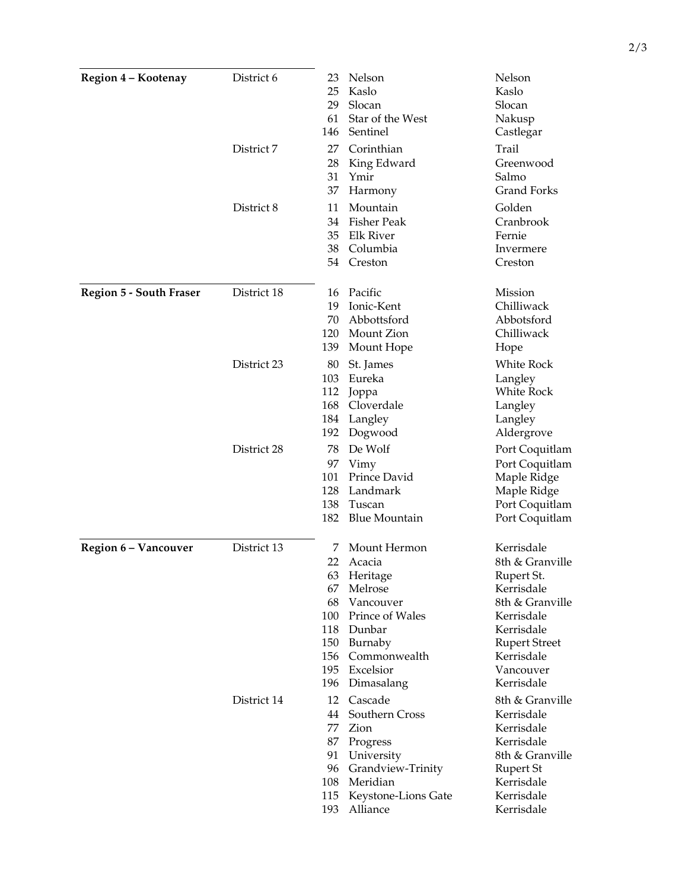| Region 4 - Kootenay            | District 6  | 23. | Nelson                | Nelson                             |
|--------------------------------|-------------|-----|-----------------------|------------------------------------|
|                                |             | 25  | Kaslo                 | Kaslo                              |
|                                |             | 29  | Slocan                | Slocan                             |
|                                |             | 61  | Star of the West      | Nakusp                             |
|                                |             | 146 | Sentinel              | Castlegar                          |
|                                | District 7  | 27  | Corinthian            | Trail                              |
|                                |             | 28  | King Edward           | Greenwood                          |
|                                |             | 31  | Ymir                  | Salmo                              |
|                                |             | 37  | Harmony               | <b>Grand Forks</b>                 |
|                                | District 8  | 11  | Mountain              | Golden                             |
|                                |             | 34  | <b>Fisher Peak</b>    | Cranbrook                          |
|                                |             | 35  | <b>Elk River</b>      | Fernie                             |
|                                |             | 38  | Columbia              | Invermere                          |
|                                |             | 54  | Creston               | Creston                            |
| <b>Region 5 - South Fraser</b> | District 18 | 16  | Pacific               | Mission                            |
|                                |             | 19  | Ionic-Kent            | Chilliwack                         |
|                                |             | 70  | Abbottsford           | Abbotsford                         |
|                                |             | 120 | Mount Zion            | Chilliwack                         |
|                                |             | 139 | Mount Hope            | Hope                               |
|                                | District 23 | 80  | St. James             | White Rock                         |
|                                |             | 103 | Eureka                | Langley                            |
|                                |             | 112 | Joppa                 | White Rock                         |
|                                |             | 168 | Cloverdale            | Langley                            |
|                                |             | 184 | Langley               | Langley                            |
|                                |             | 192 | Dogwood               | Aldergrove                         |
|                                | District 28 | 78  | De Wolf               | Port Coquitlam                     |
|                                |             | 97  | Vimy                  | Port Coquitlam                     |
|                                |             | 101 | Prince David          | Maple Ridge                        |
|                                |             | 128 | Landmark              | Maple Ridge                        |
|                                |             | 138 | Tuscan                | Port Coquitlam                     |
|                                |             | 182 | <b>Blue Mountain</b>  | Port Coquitlam                     |
| Region 6 - Vancouver           | District 13 | 7   | Mount Hermon          | Kerrisdale                         |
|                                |             | 22  | Acacia                | 8th & Granville                    |
|                                |             |     | 63 Heritage           | Rupert St.                         |
|                                |             | 67  | Melrose               | Kerrisdale                         |
|                                |             | 68  | Vancouver             | 8th & Granville                    |
|                                |             | 100 | Prince of Wales       | Kerrisdale                         |
|                                |             | 118 | Dunbar<br>150 Burnaby | Kerrisdale<br><b>Rupert Street</b> |
|                                |             | 156 | Commonwealth          | Kerrisdale                         |
|                                |             |     | 195 Excelsior         | Vancouver                          |
|                                |             |     | 196 Dimasalang        | Kerrisdale                         |
|                                | District 14 | 12  | Cascade               | 8th & Granville                    |
|                                |             | 44  | Southern Cross        | Kerrisdale                         |
|                                |             | 77  | Zion                  | Kerrisdale                         |
|                                |             | 87  | Progress              | Kerrisdale                         |
|                                |             | 91  | University            | 8th & Granville                    |
|                                |             | 96  | Grandview-Trinity     | Rupert St                          |
|                                |             | 108 | Meridian              | Kerrisdale                         |
|                                |             | 115 | Keystone-Lions Gate   | Kerrisdale                         |
|                                |             | 193 | Alliance              | Kerrisdale                         |